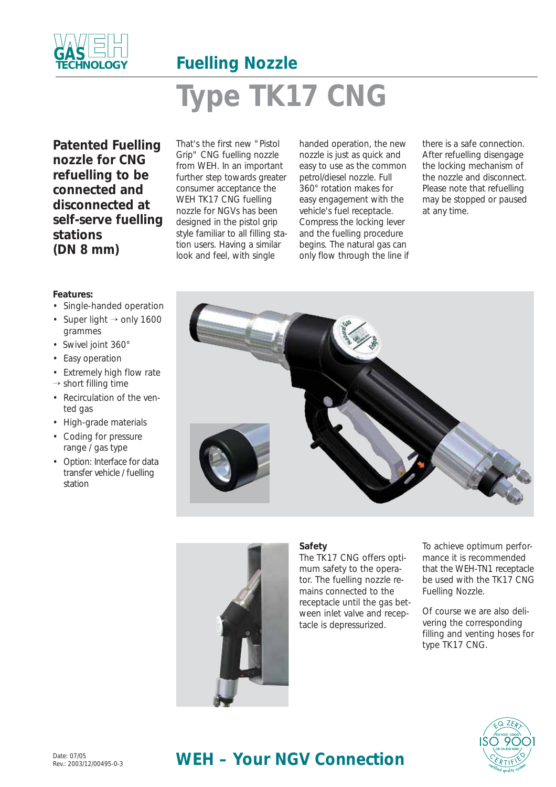

# **Fuelling Nozzle Type TK17 CNG**

**Patented Fuelling nozzle for CNG refuelling to be connected and disconnected at self-serve fuelling stations (DN 8 mm)**

**Features:**

- Single-handed operation
- Super light  $\rightarrow$  only 1600 grammes
- Swivel joint 360°
- Easy operation
- Extremely high flow rate
- $\rightarrow$  short filling time
- Recirculation of the vented gas
- High-grade materials
- Coding for pressure range / gas type
- Option: Interface for data transfer vehicle / fuelling station

That's the first new "Pistol Grip" CNG fuelling nozzle from WEH. In an important further step towards greater consumer acceptance the WEH TK17 CNG fuelling nozzle for NGVs has been designed in the pistol grip style familiar to all filling station users. Having a similar look and feel, with single

handed operation, the new nozzle is just as quick and easy to use as the common petrol/diesel nozzle. Full 360° rotation makes for easy engagement with the vehicle's fuel receptacle. Compress the locking lever and the fuelling procedure begins. The natural gas can only flow through the line if there is a safe connection. After refuelling disengage the locking mechanism of the nozzle and disconnect. Please note that refuelling may be stopped or paused at any time.





#### **Safety**

The TK17 CNG offers optimum safety to the operator. The fuelling nozzle remains connected to the receptacle until the gas between inlet valve and receptacle is depressurized.

To achieve optimum performance it is recommended that the WEH-TN1 receptacle be used with the TK17 CNG Fuelling Nozzle.

Of course we are also delivering the corresponding filling and venting hoses for type TK17 CNG.



## WEH – Your NGV Connection